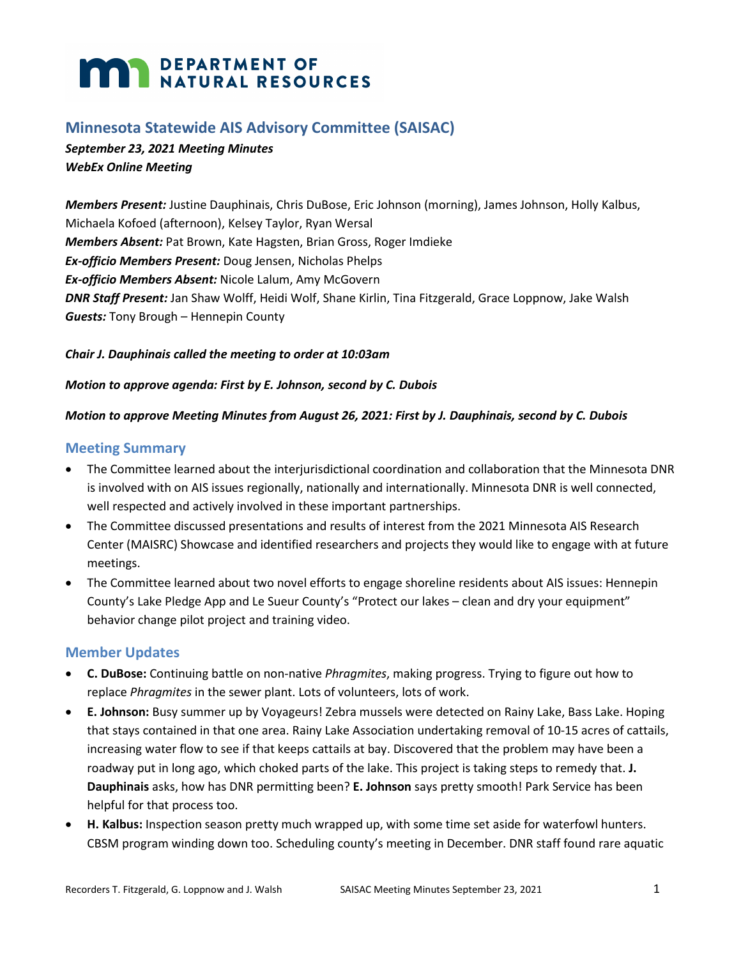# **MARIA DEPARTMENT OF NATURAL RESOURCES**

## **Minnesota Statewide AIS Advisory Committee (SAISAC)**

*September 23, 2021 Meeting Minutes WebEx Online Meeting*

*Members Present:* Justine Dauphinais, Chris DuBose, Eric Johnson (morning), James Johnson, Holly Kalbus, Michaela Kofoed (afternoon), Kelsey Taylor, Ryan Wersal *Members Absent:* Pat Brown, Kate Hagsten, Brian Gross, Roger Imdieke *Ex-officio Members Present:* Doug Jensen, Nicholas Phelps *Ex-officio Members Absent:* Nicole Lalum, Amy McGovern *DNR Staff Present:* Jan Shaw Wolff, Heidi Wolf, Shane Kirlin, Tina Fitzgerald, Grace Loppnow, Jake Walsh *Guests:* Tony Brough – Hennepin County

## *Chair J. Dauphinais called the meeting to order at 10:03am*

## *Motion to approve agenda: First by E. Johnson, second by C. Dubois*

## *Motion to approve Meeting Minutes from August 26, 2021: First by J. Dauphinais, second by C. Dubois*

## **Meeting Summary**

- The Committee learned about the interjurisdictional coordination and collaboration that the Minnesota DNR is involved with on AIS issues regionally, nationally and internationally. Minnesota DNR is well connected, well respected and actively involved in these important partnerships.
- The Committee discussed presentations and results of interest from the 2021 Minnesota AIS Research Center (MAISRC) Showcase and identified researchers and projects they would like to engage with at future meetings.
- The Committee learned about two novel efforts to engage shoreline residents about AIS issues: Hennepin County's Lake Pledge App and Le Sueur County's "Protect our lakes – clean and dry your equipment" behavior change pilot project and training video.

## **Member Updates**

- **C. DuBose:** Continuing battle on non-native *Phragmites*, making progress. Trying to figure out how to replace *Phragmites* in the sewer plant. Lots of volunteers, lots of work.
- **E. Johnson:** Busy summer up by Voyageurs! Zebra mussels were detected on Rainy Lake, Bass Lake. Hoping that stays contained in that one area. Rainy Lake Association undertaking removal of 10-15 acres of cattails, increasing water flow to see if that keeps cattails at bay. Discovered that the problem may have been a roadway put in long ago, which choked parts of the lake. This project is taking steps to remedy that. **J. Dauphinais** asks, how has DNR permitting been? **E. Johnson** says pretty smooth! Park Service has been helpful for that process too.
- **H. Kalbus:** Inspection season pretty much wrapped up, with some time set aside for waterfowl hunters. CBSM program winding down too. Scheduling county's meeting in December. DNR staff found rare aquatic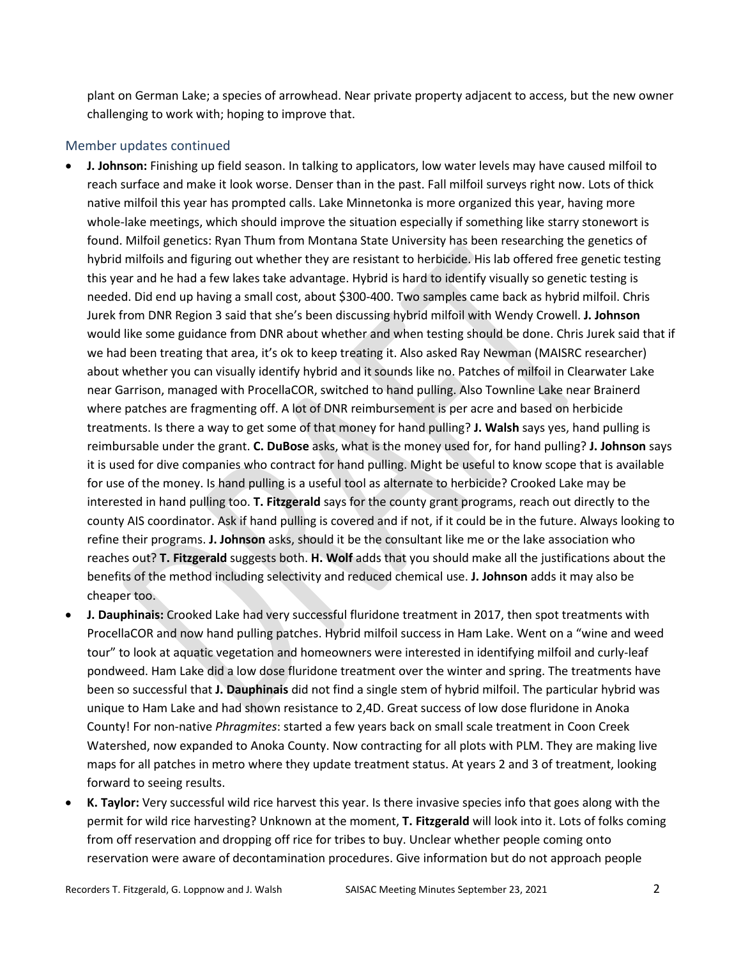plant on German Lake; a species of arrowhead. Near private property adjacent to access, but the new owner challenging to work with; hoping to improve that.

## Member updates continued

- **J. Johnson:** Finishing up field season. In talking to applicators, low water levels may have caused milfoil to reach surface and make it look worse. Denser than in the past. Fall milfoil surveys right now. Lots of thick native milfoil this year has prompted calls. Lake Minnetonka is more organized this year, having more whole-lake meetings, which should improve the situation especially if something like starry stonewort is found. Milfoil genetics: Ryan Thum from Montana State University has been researching the genetics of hybrid milfoils and figuring out whether they are resistant to herbicide. His lab offered free genetic testing this year and he had a few lakes take advantage. Hybrid is hard to identify visually so genetic testing is needed. Did end up having a small cost, about \$300-400. Two samples came back as hybrid milfoil. Chris Jurek from DNR Region 3 said that she's been discussing hybrid milfoil with Wendy Crowell. **J. Johnson** would like some guidance from DNR about whether and when testing should be done. Chris Jurek said that if we had been treating that area, it's ok to keep treating it. Also asked Ray Newman (MAISRC researcher) about whether you can visually identify hybrid and it sounds like no. Patches of milfoil in Clearwater Lake near Garrison, managed with ProcellaCOR, switched to hand pulling. Also Townline Lake near Brainerd where patches are fragmenting off. A lot of DNR reimbursement is per acre and based on herbicide treatments. Is there a way to get some of that money for hand pulling? **J. Walsh** says yes, hand pulling is reimbursable under the grant. **C. DuBose** asks, what is the money used for, for hand pulling? **J. Johnson** says it is used for dive companies who contract for hand pulling. Might be useful to know scope that is available for use of the money. Is hand pulling is a useful tool as alternate to herbicide? Crooked Lake may be interested in hand pulling too. **T. Fitzgerald** says for the county grant programs, reach out directly to the county AIS coordinator. Ask if hand pulling is covered and if not, if it could be in the future. Always looking to refine their programs. **J. Johnson** asks, should it be the consultant like me or the lake association who reaches out? **T. Fitzgerald** suggests both. **H. Wolf** adds that you should make all the justifications about the benefits of the method including selectivity and reduced chemical use. **J. Johnson** adds it may also be cheaper too.
- **J. Dauphinais:** Crooked Lake had very successful fluridone treatment in 2017, then spot treatments with ProcellaCOR and now hand pulling patches. Hybrid milfoil success in Ham Lake. Went on a "wine and weed tour" to look at aquatic vegetation and homeowners were interested in identifying milfoil and curly-leaf pondweed. Ham Lake did a low dose fluridone treatment over the winter and spring. The treatments have been so successful that **J. Dauphinais** did not find a single stem of hybrid milfoil. The particular hybrid was unique to Ham Lake and had shown resistance to 2,4D. Great success of low dose fluridone in Anoka County! For non-native *Phragmites*: started a few years back on small scale treatment in Coon Creek Watershed, now expanded to Anoka County. Now contracting for all plots with PLM. They are making live maps for all patches in metro where they update treatment status. At years 2 and 3 of treatment, looking forward to seeing results.
- **K. Taylor:** Very successful wild rice harvest this year. Is there invasive species info that goes along with the permit for wild rice harvesting? Unknown at the moment, **T. Fitzgerald** will look into it. Lots of folks coming from off reservation and dropping off rice for tribes to buy. Unclear whether people coming onto reservation were aware of decontamination procedures. Give information but do not approach people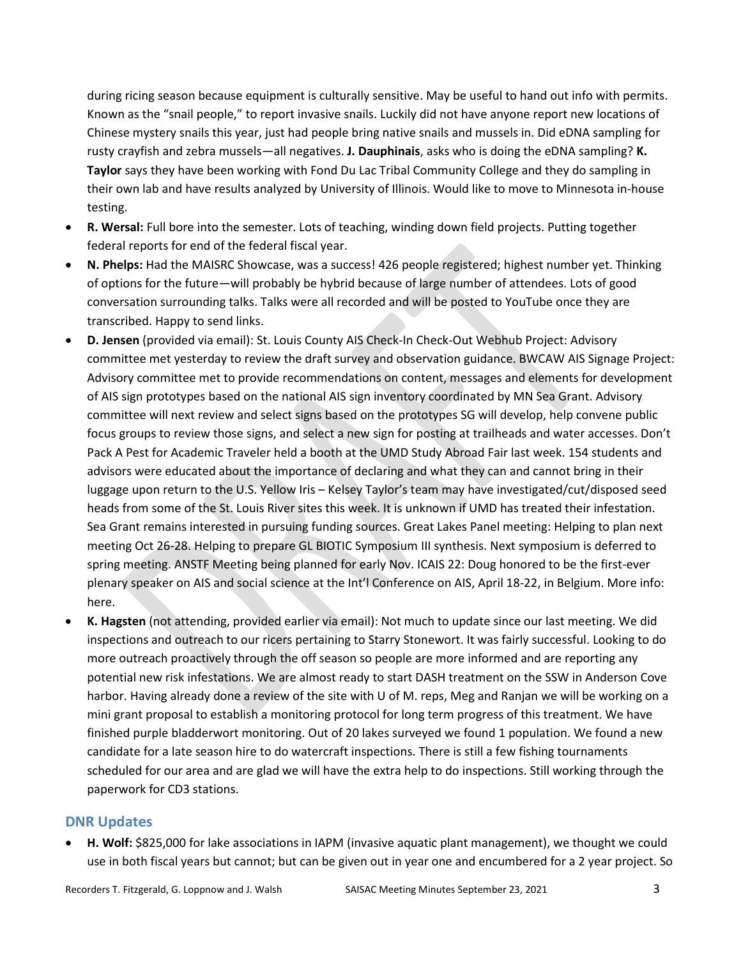during ricing season because equipment is culturally sensitive. May be useful to hand out info with permits. Known as the "snail people," to report invasive snails. Luckily did not have anyone report new locations of Chinese mystery snails this year, just had people bring native snails and mussels in. Did eDNA sampling for rusty crayfish and zebra mussels—all negatives. **J. Dauphinais**, asks who is doing the eDNA sampling? **K. Taylor** says they have been working with Fond Du Lac Tribal Community College and they do sampling in their own lab and have results analyzed by University of Illinois. Would like to move to Minnesota in-house testing.

- **R. Wersal:** Full bore into the semester. Lots of teaching, winding down field projects. Putting together federal reports for end of the federal fiscal year.
- **N. Phelps:** Had the MAISRC Showcase, was a success! 426 people registered; highest number yet. Thinking of options for the future—will probably be hybrid because of large number of attendees. Lots of good conversation surrounding talks. Talks were all recorded and will be posted to YouTube once they are transcribed. Happy to send links.
- **D. Jensen** (provided via email): St. Louis County AIS Check-In Check-Out Webhub Project: Advisory committee met yesterday to review the draft survey and observation guidance. BWCAW AIS Signage Project: Advisory committee met to provide recommendations on content, messages and elements for development of AIS sign prototypes based on the national AIS sign inventory coordinated by MN Sea Grant. Advisory committee will next review and select signs based on the prototypes SG will develop, help convene public focus groups to review those signs, and select a new sign for posting at trailheads and water accesses. Don't Pack A Pest for Academic Traveler held a booth at the UMD Study Abroad Fair last week. 154 students and advisors were educated about the importance of declaring and what they can and cannot bring in their luggage upon return to the U.S. Yellow Iris – Kelsey Taylor's team may have investigated/cut/disposed seed heads from some of the St. Louis River sites this week. It is unknown if UMD has treated their infestation. Sea Grant remains interested in pursuing funding sources. Great Lakes Panel meeting: Helping to plan next meeting Oct 26-28. Helping to prepare GL BIOTIC Symposium III synthesis. Next symposium is deferred to spring meeting. ANSTF Meeting being planned for early Nov. ICAIS 22: Doug honored to be the first-ever plenary speaker on AIS and social science at the Int'l Conference on AIS, April 18-22, in Belgium. More info: here.
- **K. Hagsten** (not attending, provided earlier via email): Not much to update since our last meeting. We did inspections and outreach to our ricers pertaining to Starry Stonewort. It was fairly successful. Looking to do more outreach proactively through the off season so people are more informed and are reporting any potential new risk infestations. We are almost ready to start DASH treatment on the SSW in Anderson Cove harbor. Having already done a review of the site with U of M. reps, Meg and Ranjan we will be working on a mini grant proposal to establish a monitoring protocol for long term progress of this treatment. We have finished purple bladderwort monitoring. Out of 20 lakes surveyed we found 1 population. We found a new candidate for a late season hire to do watercraft inspections. There is still a few fishing tournaments scheduled for our area and are glad we will have the extra help to do inspections. Still working through the paperwork for CD3 stations.

## **DNR Updates**

• **H. Wolf:** \$825,000 for lake associations in IAPM (invasive aquatic plant management), we thought we could use in both fiscal years but cannot; but can be given out in year one and encumbered for a 2 year project. So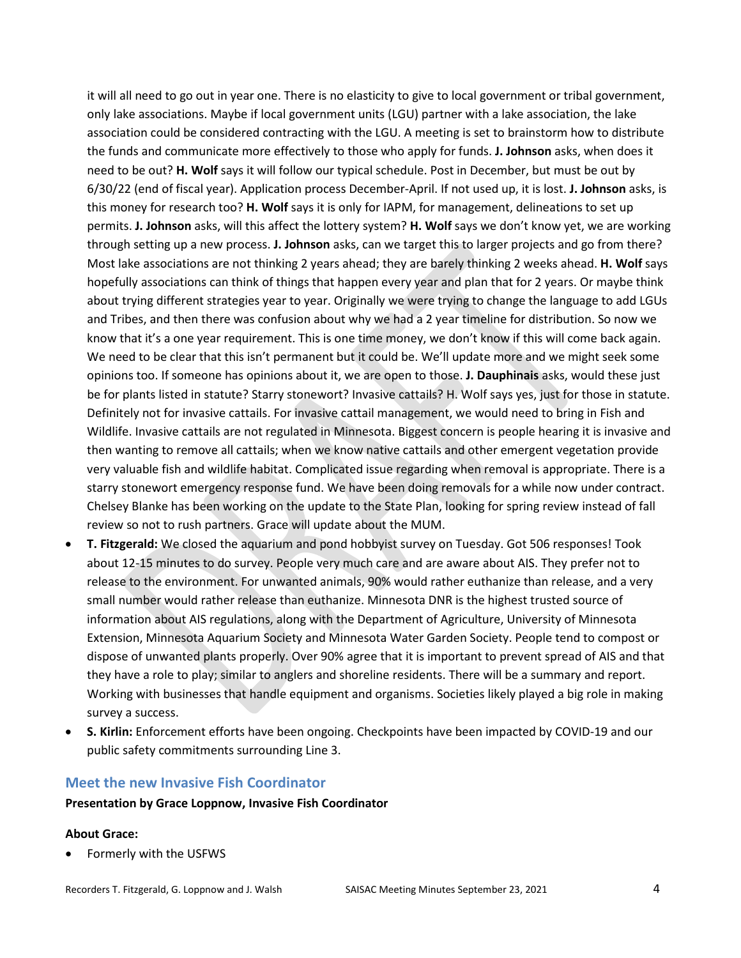it will all need to go out in year one. There is no elasticity to give to local government or tribal government, only lake associations. Maybe if local government units (LGU) partner with a lake association, the lake association could be considered contracting with the LGU. A meeting is set to brainstorm how to distribute the funds and communicate more effectively to those who apply for funds. **J. Johnson** asks, when does it need to be out? **H. Wolf** says it will follow our typical schedule. Post in December, but must be out by 6/30/22 (end of fiscal year). Application process December-April. If not used up, it is lost. **J. Johnson** asks, is this money for research too? **H. Wolf** says it is only for IAPM, for management, delineations to set up permits. **J. Johnson** asks, will this affect the lottery system? **H. Wolf** says we don't know yet, we are working through setting up a new process. **J. Johnson** asks, can we target this to larger projects and go from there? Most lake associations are not thinking 2 years ahead; they are barely thinking 2 weeks ahead. **H. Wolf** says hopefully associations can think of things that happen every year and plan that for 2 years. Or maybe think about trying different strategies year to year. Originally we were trying to change the language to add LGUs and Tribes, and then there was confusion about why we had a 2 year timeline for distribution. So now we know that it's a one year requirement. This is one time money, we don't know if this will come back again. We need to be clear that this isn't permanent but it could be. We'll update more and we might seek some opinions too. If someone has opinions about it, we are open to those. **J. Dauphinais** asks, would these just be for plants listed in statute? Starry stonewort? Invasive cattails? H. Wolf says yes, just for those in statute. Definitely not for invasive cattails. For invasive cattail management, we would need to bring in Fish and Wildlife. Invasive cattails are not regulated in Minnesota. Biggest concern is people hearing it is invasive and then wanting to remove all cattails; when we know native cattails and other emergent vegetation provide very valuable fish and wildlife habitat. Complicated issue regarding when removal is appropriate. There is a starry stonewort emergency response fund. We have been doing removals for a while now under contract. Chelsey Blanke has been working on the update to the State Plan, looking for spring review instead of fall review so not to rush partners. Grace will update about the MUM.

- **T. Fitzgerald:** We closed the aquarium and pond hobbyist survey on Tuesday. Got 506 responses! Took about 12-15 minutes to do survey. People very much care and are aware about AIS. They prefer not to release to the environment. For unwanted animals, 90% would rather euthanize than release, and a very small number would rather release than euthanize. Minnesota DNR is the highest trusted source of information about AIS regulations, along with the Department of Agriculture, University of Minnesota Extension, Minnesota Aquarium Society and Minnesota Water Garden Society. People tend to compost or dispose of unwanted plants properly. Over 90% agree that it is important to prevent spread of AIS and that they have a role to play; similar to anglers and shoreline residents. There will be a summary and report. Working with businesses that handle equipment and organisms. Societies likely played a big role in making survey a success.
- **S. Kirlin:** Enforcement efforts have been ongoing. Checkpoints have been impacted by COVID-19 and our public safety commitments surrounding Line 3.

#### **Meet the new Invasive Fish Coordinator**

#### **Presentation by Grace Loppnow, Invasive Fish Coordinator**

#### **About Grace:**

• Formerly with the USFWS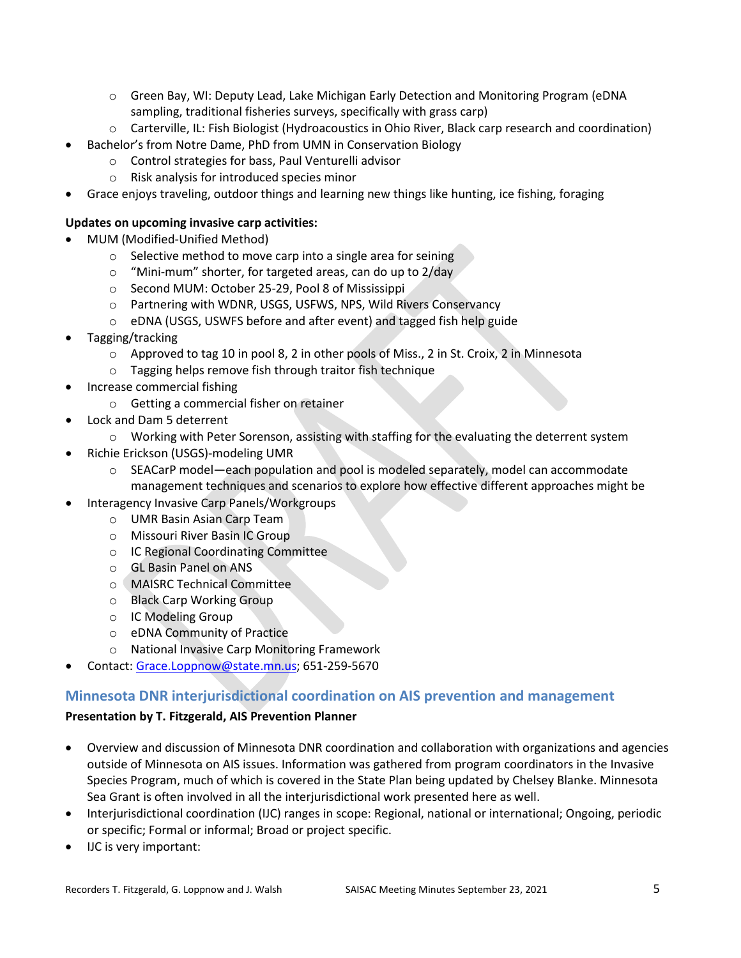- o Green Bay, WI: Deputy Lead, Lake Michigan Early Detection and Monitoring Program (eDNA sampling, traditional fisheries surveys, specifically with grass carp)
- o Carterville, IL: Fish Biologist (Hydroacoustics in Ohio River, Black carp research and coordination)
- Bachelor's from Notre Dame, PhD from UMN in Conservation Biology
	- o Control strategies for bass, Paul Venturelli advisor
	- o Risk analysis for introduced species minor
- Grace enjoys traveling, outdoor things and learning new things like hunting, ice fishing, foraging

#### **Updates on upcoming invasive carp activities:**

- MUM (Modified-Unified Method)
	- o Selective method to move carp into a single area for seining
	- o "Mini-mum" shorter, for targeted areas, can do up to 2/day
	- o Second MUM: October 25-29, Pool 8 of Mississippi
	- o Partnering with WDNR, USGS, USFWS, NPS, Wild Rivers Conservancy
	- o eDNA (USGS, USWFS before and after event) and tagged fish help guide
- Tagging/tracking
	- o Approved to tag 10 in pool 8, 2 in other pools of Miss., 2 in St. Croix, 2 in Minnesota
	- o Tagging helps remove fish through traitor fish technique
- Increase commercial fishing
	- o Getting a commercial fisher on retainer
- Lock and Dam 5 deterrent
	- o Working with Peter Sorenson, assisting with staffing for the evaluating the deterrent system
- Richie Erickson (USGS)-modeling UMR
	- o SEACarP model—each population and pool is modeled separately, model can accommodate management techniques and scenarios to explore how effective different approaches might be
- Interagency Invasive Carp Panels/Workgroups
	- o UMR Basin Asian Carp Team
	- o Missouri River Basin IC Group
	- o IC Regional Coordinating Committee
	- o GL Basin Panel on ANS
	- o MAISRC Technical Committee
	- o Black Carp Working Group
	- o IC Modeling Group
	- o eDNA Community of Practice
	- o National Invasive Carp Monitoring Framework
	- Contact: [Grace.Loppnow@state.mn.us;](mailto:Grace.Loppnow@state.mn.us) 651-259-5670

## **Minnesota DNR interjurisdictional coordination on AIS prevention and management**

## **Presentation by T. Fitzgerald, AIS Prevention Planner**

- Overview and discussion of Minnesota DNR coordination and collaboration with organizations and agencies outside of Minnesota on AIS issues. Information was gathered from program coordinators in the Invasive Species Program, much of which is covered in the State Plan being updated by Chelsey Blanke. Minnesota Sea Grant is often involved in all the interjurisdictional work presented here as well.
- Interjurisdictional coordination (IJC) ranges in scope: Regional, national or international; Ongoing, periodic or specific; Formal or informal; Broad or project specific.
- IJC is very important: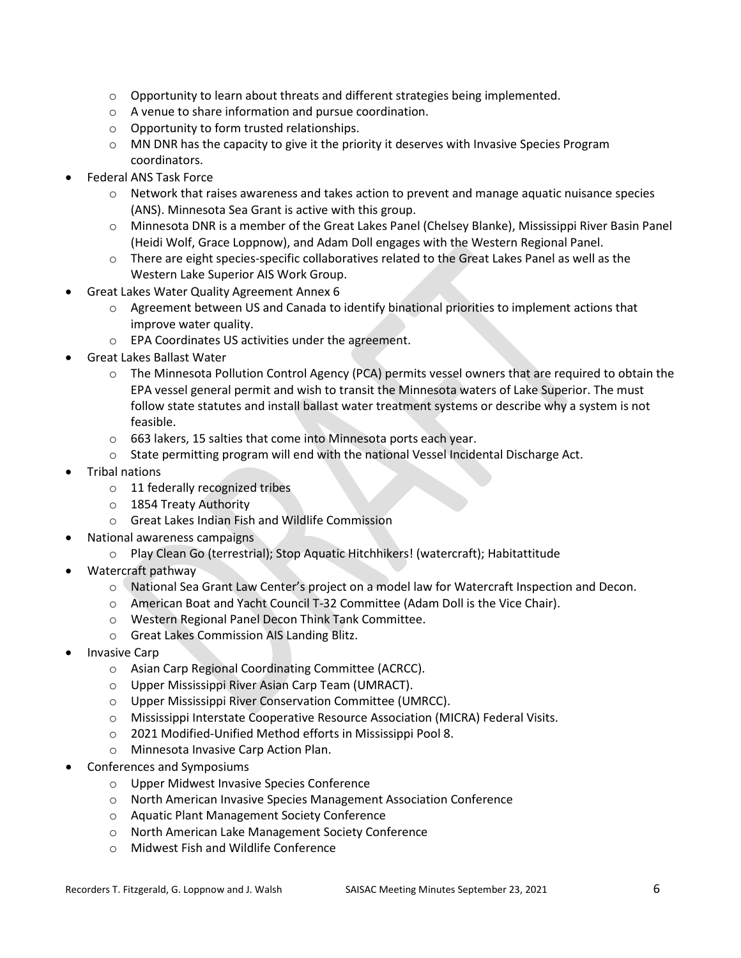- $\circ$  Opportunity to learn about threats and different strategies being implemented.
- o A venue to share information and pursue coordination.
- o Opportunity to form trusted relationships.
- o MN DNR has the capacity to give it the priority it deserves with Invasive Species Program coordinators.
- Federal ANS Task Force
	- $\circ$  Network that raises awareness and takes action to prevent and manage aquatic nuisance species (ANS). Minnesota Sea Grant is active with this group.
	- o Minnesota DNR is a member of the Great Lakes Panel (Chelsey Blanke), Mississippi River Basin Panel (Heidi Wolf, Grace Loppnow), and Adam Doll engages with the Western Regional Panel.
	- o There are eight species-specific collaboratives related to the Great Lakes Panel as well as the Western Lake Superior AIS Work Group.
- Great Lakes Water Quality Agreement Annex 6
	- $\circ$  Agreement between US and Canada to identify binational priorities to implement actions that improve water quality.
	- o EPA Coordinates US activities under the agreement.
- Great Lakes Ballast Water
	- $\circ$  The Minnesota Pollution Control Agency (PCA) permits vessel owners that are required to obtain the EPA vessel general permit and wish to transit the Minnesota waters of Lake Superior. The must follow state statutes and install ballast water treatment systems or describe why a system is not feasible.
	- o 663 lakers, 15 salties that come into Minnesota ports each year.
	- o State permitting program will end with the national Vessel Incidental Discharge Act.
- Tribal nations
	- o 11 federally recognized tribes
	- o 1854 Treaty Authority
	- o Great Lakes Indian Fish and Wildlife Commission
- National awareness campaigns
	- o Play Clean Go (terrestrial); Stop Aquatic Hitchhikers! (watercraft); Habitattitude
- Watercraft pathway
	- o National Sea Grant Law Center's project on a model law for Watercraft Inspection and Decon.
	- o American Boat and Yacht Council T-32 Committee (Adam Doll is the Vice Chair).
	- o Western Regional Panel Decon Think Tank Committee.
	- o Great Lakes Commission AIS Landing Blitz.
- Invasive Carp
	- o Asian Carp Regional Coordinating Committee (ACRCC).
	- o Upper Mississippi River Asian Carp Team (UMRACT).
	- o Upper Mississippi River Conservation Committee (UMRCC).
	- o Mississippi Interstate Cooperative Resource Association (MICRA) Federal Visits.
	- o 2021 Modified-Unified Method efforts in Mississippi Pool 8.
	- o Minnesota Invasive Carp Action Plan.
- Conferences and Symposiums
	- o Upper Midwest Invasive Species Conference
	- o North American Invasive Species Management Association Conference
	- o Aquatic Plant Management Society Conference
	- o North American Lake Management Society Conference
	- o Midwest Fish and Wildlife Conference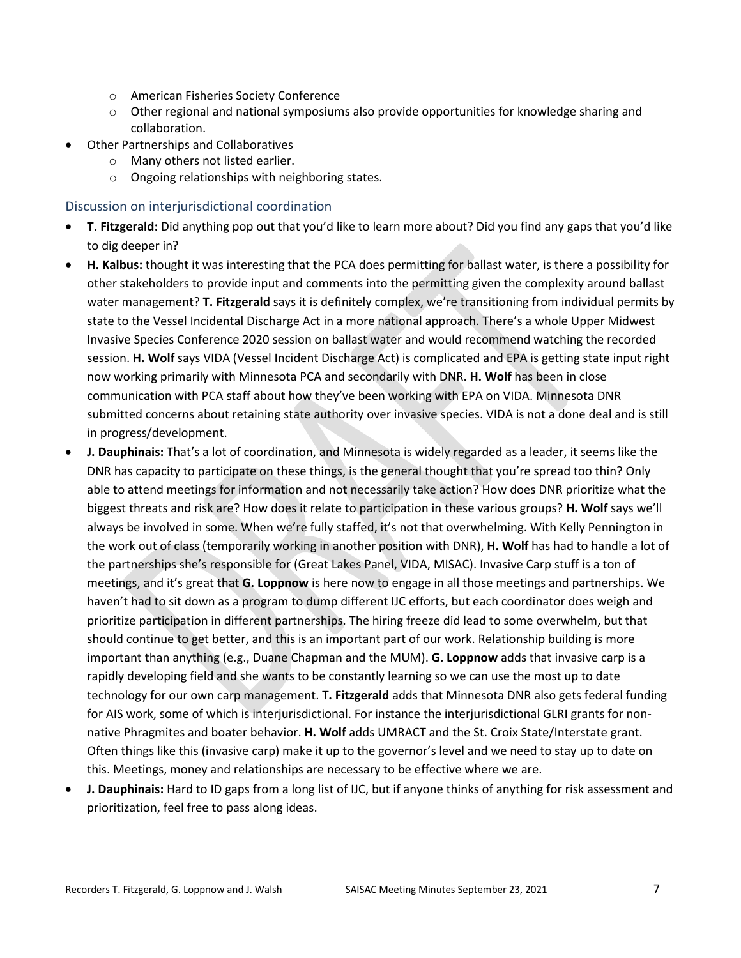- o American Fisheries Society Conference
- $\circ$  Other regional and national symposiums also provide opportunities for knowledge sharing and collaboration.
- Other Partnerships and Collaboratives
	- o Many others not listed earlier.
	- o Ongoing relationships with neighboring states.

Discussion on interjurisdictional coordination

- **T. Fitzgerald:** Did anything pop out that you'd like to learn more about? Did you find any gaps that you'd like to dig deeper in?
- **H. Kalbus:** thought it was interesting that the PCA does permitting for ballast water, is there a possibility for other stakeholders to provide input and comments into the permitting given the complexity around ballast water management? **T. Fitzgerald** says it is definitely complex, we're transitioning from individual permits by state to the Vessel Incidental Discharge Act in a more national approach. There's a whole Upper Midwest Invasive Species Conference 2020 session on ballast water and would recommend watching the recorded session. **H. Wolf** says VIDA (Vessel Incident Discharge Act) is complicated and EPA is getting state input right now working primarily with Minnesota PCA and secondarily with DNR. **H. Wolf** has been in close communication with PCA staff about how they've been working with EPA on VIDA. Minnesota DNR submitted concerns about retaining state authority over invasive species. VIDA is not a done deal and is still in progress/development.
- **J. Dauphinais:** That's a lot of coordination, and Minnesota is widely regarded as a leader, it seems like the DNR has capacity to participate on these things, is the general thought that you're spread too thin? Only able to attend meetings for information and not necessarily take action? How does DNR prioritize what the biggest threats and risk are? How does it relate to participation in these various groups? **H. Wolf** says we'll always be involved in some. When we're fully staffed, it's not that overwhelming. With Kelly Pennington in the work out of class (temporarily working in another position with DNR), **H. Wolf** has had to handle a lot of the partnerships she's responsible for (Great Lakes Panel, VIDA, MISAC). Invasive Carp stuff is a ton of meetings, and it's great that **G. Loppnow** is here now to engage in all those meetings and partnerships. We haven't had to sit down as a program to dump different IJC efforts, but each coordinator does weigh and prioritize participation in different partnerships. The hiring freeze did lead to some overwhelm, but that should continue to get better, and this is an important part of our work. Relationship building is more important than anything (e.g., Duane Chapman and the MUM). **G. Loppnow** adds that invasive carp is a rapidly developing field and she wants to be constantly learning so we can use the most up to date technology for our own carp management. **T. Fitzgerald** adds that Minnesota DNR also gets federal funding for AIS work, some of which is interjurisdictional. For instance the interjurisdictional GLRI grants for nonnative Phragmites and boater behavior. **H. Wolf** adds UMRACT and the St. Croix State/Interstate grant. Often things like this (invasive carp) make it up to the governor's level and we need to stay up to date on this. Meetings, money and relationships are necessary to be effective where we are.
- **J. Dauphinais:** Hard to ID gaps from a long list of IJC, but if anyone thinks of anything for risk assessment and prioritization, feel free to pass along ideas.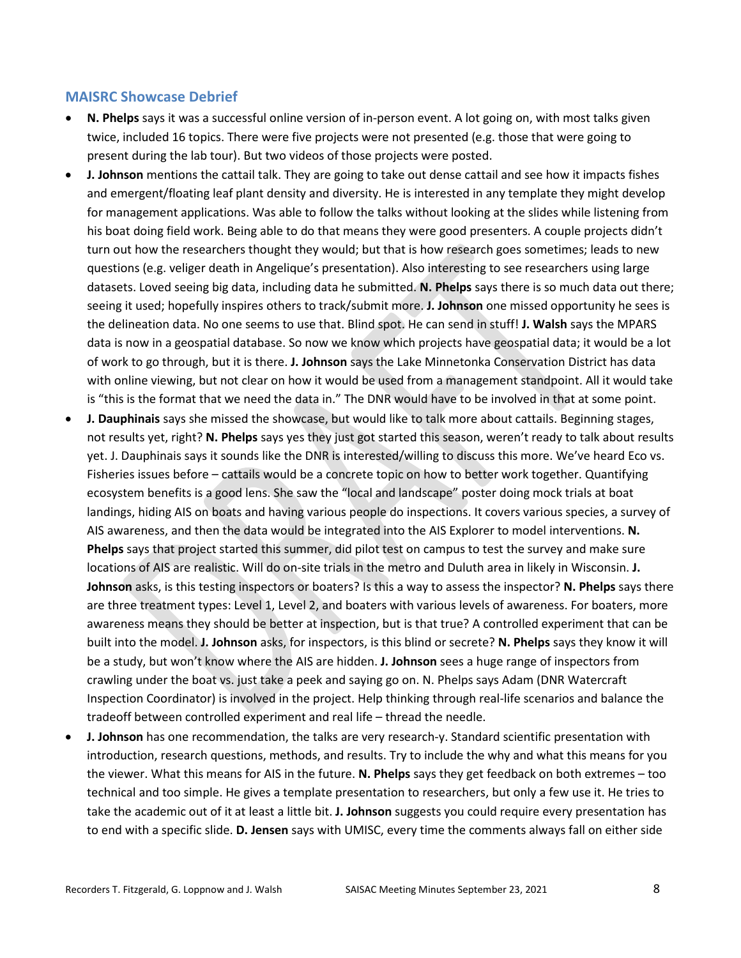#### **MAISRC Showcase Debrief**

- **N. Phelps** says it was a successful online version of in-person event. A lot going on, with most talks given twice, included 16 topics. There were five projects were not presented (e.g. those that were going to present during the lab tour). But two videos of those projects were posted.
- **J. Johnson** mentions the cattail talk. They are going to take out dense cattail and see how it impacts fishes and emergent/floating leaf plant density and diversity. He is interested in any template they might develop for management applications. Was able to follow the talks without looking at the slides while listening from his boat doing field work. Being able to do that means they were good presenters. A couple projects didn't turn out how the researchers thought they would; but that is how research goes sometimes; leads to new questions (e.g. veliger death in Angelique's presentation). Also interesting to see researchers using large datasets. Loved seeing big data, including data he submitted. **N. Phelps** says there is so much data out there; seeing it used; hopefully inspires others to track/submit more. **J. Johnson** one missed opportunity he sees is the delineation data. No one seems to use that. Blind spot. He can send in stuff! **J. Walsh** says the MPARS data is now in a geospatial database. So now we know which projects have geospatial data; it would be a lot of work to go through, but it is there. **J. Johnson** says the Lake Minnetonka Conservation District has data with online viewing, but not clear on how it would be used from a management standpoint. All it would take is "this is the format that we need the data in." The DNR would have to be involved in that at some point.
- **J. Dauphinais** says she missed the showcase, but would like to talk more about cattails. Beginning stages, not results yet, right? **N. Phelps** says yes they just got started this season, weren't ready to talk about results yet. J. Dauphinais says it sounds like the DNR is interested/willing to discuss this more. We've heard Eco vs. Fisheries issues before – cattails would be a concrete topic on how to better work together. Quantifying ecosystem benefits is a good lens. She saw the "local and landscape" poster doing mock trials at boat landings, hiding AIS on boats and having various people do inspections. It covers various species, a survey of AIS awareness, and then the data would be integrated into the AIS Explorer to model interventions. **N. Phelps** says that project started this summer, did pilot test on campus to test the survey and make sure locations of AIS are realistic. Will do on-site trials in the metro and Duluth area in likely in Wisconsin. **J. Johnson** asks, is this testing inspectors or boaters? Is this a way to assess the inspector? **N. Phelps** says there are three treatment types: Level 1, Level 2, and boaters with various levels of awareness. For boaters, more awareness means they should be better at inspection, but is that true? A controlled experiment that can be built into the model. **J. Johnson** asks, for inspectors, is this blind or secrete? **N. Phelps** says they know it will be a study, but won't know where the AIS are hidden. **J. Johnson** sees a huge range of inspectors from crawling under the boat vs. just take a peek and saying go on. N. Phelps says Adam (DNR Watercraft Inspection Coordinator) is involved in the project. Help thinking through real-life scenarios and balance the tradeoff between controlled experiment and real life – thread the needle.
- **J. Johnson** has one recommendation, the talks are very research-y. Standard scientific presentation with introduction, research questions, methods, and results. Try to include the why and what this means for you the viewer. What this means for AIS in the future. **N. Phelps** says they get feedback on both extremes – too technical and too simple. He gives a template presentation to researchers, but only a few use it. He tries to take the academic out of it at least a little bit. **J. Johnson** suggests you could require every presentation has to end with a specific slide. **D. Jensen** says with UMISC, every time the comments always fall on either side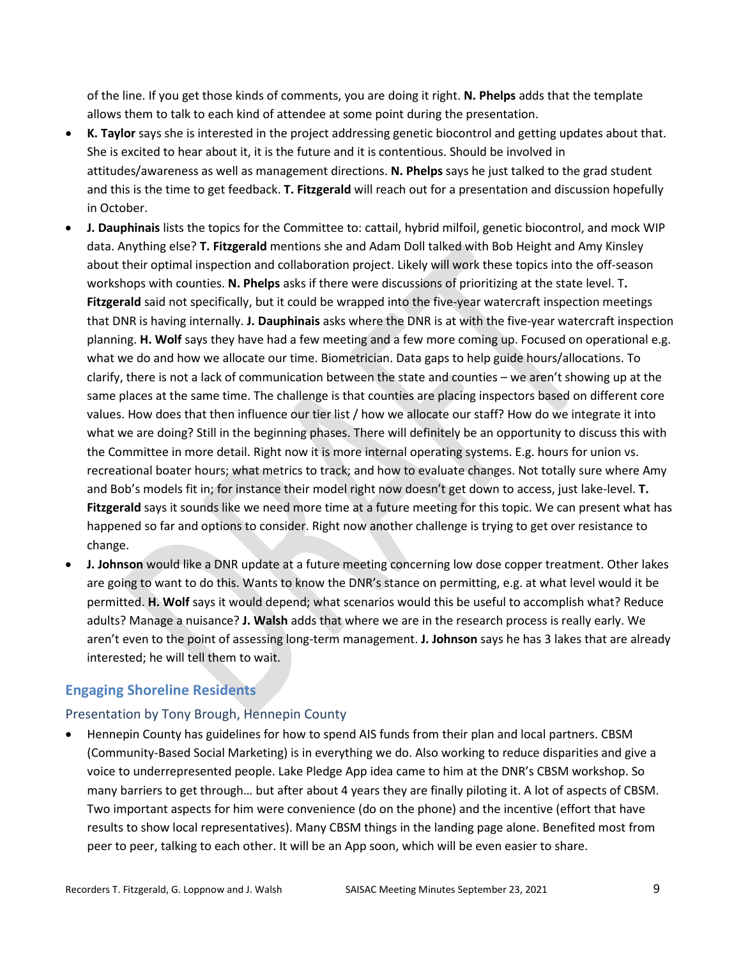of the line. If you get those kinds of comments, you are doing it right. **N. Phelps** adds that the template allows them to talk to each kind of attendee at some point during the presentation.

- **K. Taylor** says she is interested in the project addressing genetic biocontrol and getting updates about that. She is excited to hear about it, it is the future and it is contentious. Should be involved in attitudes/awareness as well as management directions. **N. Phelps** says he just talked to the grad student and this is the time to get feedback. **T. Fitzgerald** will reach out for a presentation and discussion hopefully in October.
- **J. Dauphinais** lists the topics for the Committee to: cattail, hybrid milfoil, genetic biocontrol, and mock WIP data. Anything else? **T. Fitzgerald** mentions she and Adam Doll talked with Bob Height and Amy Kinsley about their optimal inspection and collaboration project. Likely will work these topics into the off-season workshops with counties. **N. Phelps** asks if there were discussions of prioritizing at the state level. T**. Fitzgerald** said not specifically, but it could be wrapped into the five-year watercraft inspection meetings that DNR is having internally. **J. Dauphinais** asks where the DNR is at with the five-year watercraft inspection planning. **H. Wolf** says they have had a few meeting and a few more coming up. Focused on operational e.g. what we do and how we allocate our time. Biometrician. Data gaps to help guide hours/allocations. To clarify, there is not a lack of communication between the state and counties – we aren't showing up at the same places at the same time. The challenge is that counties are placing inspectors based on different core values. How does that then influence our tier list / how we allocate our staff? How do we integrate it into what we are doing? Still in the beginning phases. There will definitely be an opportunity to discuss this with the Committee in more detail. Right now it is more internal operating systems. E.g. hours for union vs. recreational boater hours; what metrics to track; and how to evaluate changes. Not totally sure where Amy and Bob's models fit in; for instance their model right now doesn't get down to access, just lake-level. **T. Fitzgerald** says it sounds like we need more time at a future meeting for this topic. We can present what has happened so far and options to consider. Right now another challenge is trying to get over resistance to change.
- **J. Johnson** would like a DNR update at a future meeting concerning low dose copper treatment. Other lakes are going to want to do this. Wants to know the DNR's stance on permitting, e.g. at what level would it be permitted. **H. Wolf** says it would depend; what scenarios would this be useful to accomplish what? Reduce adults? Manage a nuisance? **J. Walsh** adds that where we are in the research process is really early. We aren't even to the point of assessing long-term management. **J. Johnson** says he has 3 lakes that are already interested; he will tell them to wait.

## **Engaging Shoreline Residents**

## Presentation by Tony Brough, Hennepin County

• Hennepin County has guidelines for how to spend AIS funds from their plan and local partners. CBSM (Community-Based Social Marketing) is in everything we do. Also working to reduce disparities and give a voice to underrepresented people. Lake Pledge App idea came to him at the DNR's CBSM workshop. So many barriers to get through… but after about 4 years they are finally piloting it. A lot of aspects of CBSM. Two important aspects for him were convenience (do on the phone) and the incentive (effort that have results to show local representatives). Many CBSM things in the landing page alone. Benefited most from peer to peer, talking to each other. It will be an App soon, which will be even easier to share.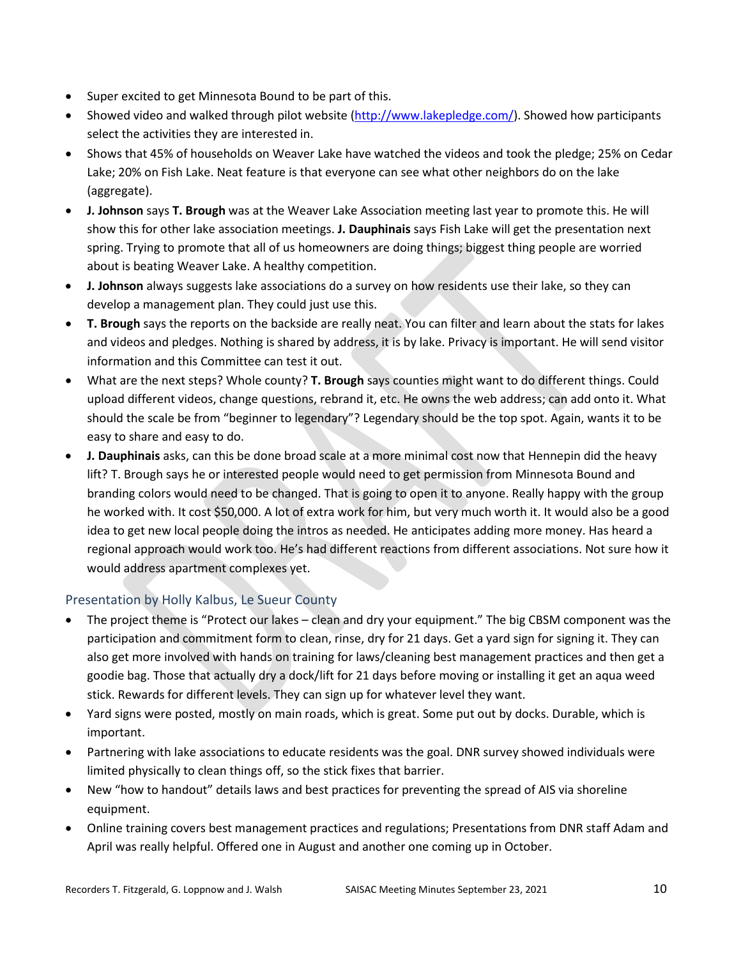- Super excited to get Minnesota Bound to be part of this.
- Showed video and walked through pilot website [\(http://www.lakepledge.com/\)](http://www.lakepledge.com/). Showed how participants select the activities they are interested in.
- Shows that 45% of households on Weaver Lake have watched the videos and took the pledge; 25% on Cedar Lake; 20% on Fish Lake. Neat feature is that everyone can see what other neighbors do on the lake (aggregate).
- **J. Johnson** says **T. Brough** was at the Weaver Lake Association meeting last year to promote this. He will show this for other lake association meetings. **J. Dauphinais** says Fish Lake will get the presentation next spring. Trying to promote that all of us homeowners are doing things; biggest thing people are worried about is beating Weaver Lake. A healthy competition.
- **J. Johnson** always suggests lake associations do a survey on how residents use their lake, so they can develop a management plan. They could just use this.
- **T. Brough** says the reports on the backside are really neat. You can filter and learn about the stats for lakes and videos and pledges. Nothing is shared by address, it is by lake. Privacy is important. He will send visitor information and this Committee can test it out.
- What are the next steps? Whole county? **T. Brough** says counties might want to do different things. Could upload different videos, change questions, rebrand it, etc. He owns the web address; can add onto it. What should the scale be from "beginner to legendary"? Legendary should be the top spot. Again, wants it to be easy to share and easy to do.
- **J. Dauphinais** asks, can this be done broad scale at a more minimal cost now that Hennepin did the heavy lift? T. Brough says he or interested people would need to get permission from Minnesota Bound and branding colors would need to be changed. That is going to open it to anyone. Really happy with the group he worked with. It cost \$50,000. A lot of extra work for him, but very much worth it. It would also be a good idea to get new local people doing the intros as needed. He anticipates adding more money. Has heard a regional approach would work too. He's had different reactions from different associations. Not sure how it would address apartment complexes yet.

## Presentation by Holly Kalbus, Le Sueur County

- The project theme is "Protect our lakes clean and dry your equipment." The big CBSM component was the participation and commitment form to clean, rinse, dry for 21 days. Get a yard sign for signing it. They can also get more involved with hands on training for laws/cleaning best management practices and then get a goodie bag. Those that actually dry a dock/lift for 21 days before moving or installing it get an aqua weed stick. Rewards for different levels. They can sign up for whatever level they want.
- Yard signs were posted, mostly on main roads, which is great. Some put out by docks. Durable, which is important.
- Partnering with lake associations to educate residents was the goal. DNR survey showed individuals were limited physically to clean things off, so the stick fixes that barrier.
- New "how to handout" details laws and best practices for preventing the spread of AIS via shoreline equipment.
- Online training covers best management practices and regulations; Presentations from DNR staff Adam and April was really helpful. Offered one in August and another one coming up in October.